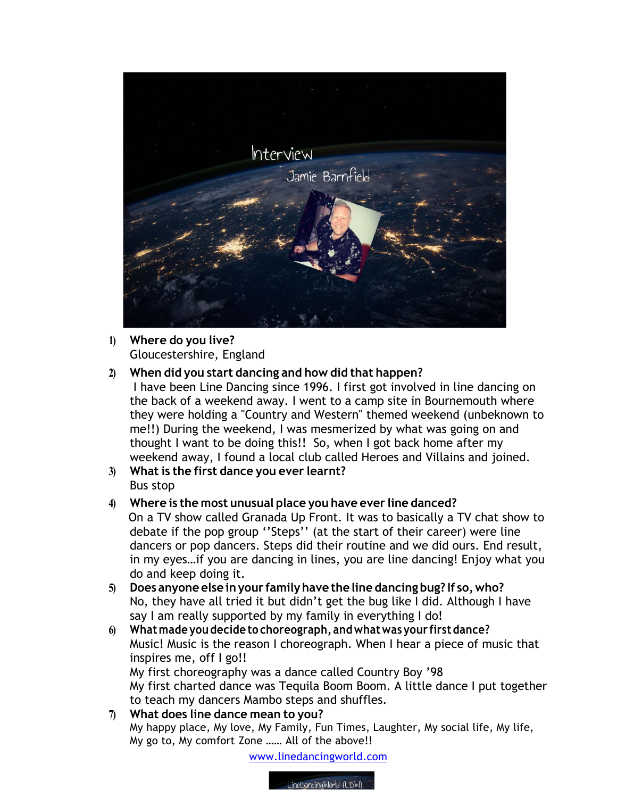

## **1) Where do you live?** Gloucestershire, England

## **2) When did you start dancing and how did that happen?**

I have been Line Dancing since 1996. I first got involved in line dancing on the back of a weekend away. I went to a camp site in Bournemouth where they were holding a "Country and Western" themed weekend (unbeknown to me!!) During the weekend, I was mesmerized by what was going on and thought I want to be doing this!! So, when I got back home after my weekend away, I found a local club called Heroes and Villains and joined.

**3) What is the first dance you ever learnt?** Bus stop

## **4) Where is the most unusual place you have ever line danced?**

 On a TV show called Granada Up Front. It was to basically a TV chat show to debate if the pop group ''Steps'' (at the start of their career) were line dancers or pop dancers. Steps did their routine and we did ours. End result, in my eyes…if you are dancing in lines, you are line dancing! Enjoy what you do and keep doing it.

- **5) Does anyone else inyour familyhave the line dancing bug? If so,who?** No, they have all tried it but didn't get the bug like I did. Although I have say I am really supported by my family in everything I do!
- **6) Whatmade you decide to choreograph, andwhatwas your firstdance?**  Music! Music is the reason I choreograph. When I hear a piece of music that inspires me, off I go!!

My first choreography was a dance called Country Boy '98 My first charted dance was Tequila Boom Boom. A little dance I put together to teach my dancers Mambo steps and shuffles.

**7) What does line dance mean to you?** My happy place, My love, My Family, Fun Times, Laughter, My social life, My life, My go to, My comfort Zone …… All of the above!!

www.linedancingworld.com